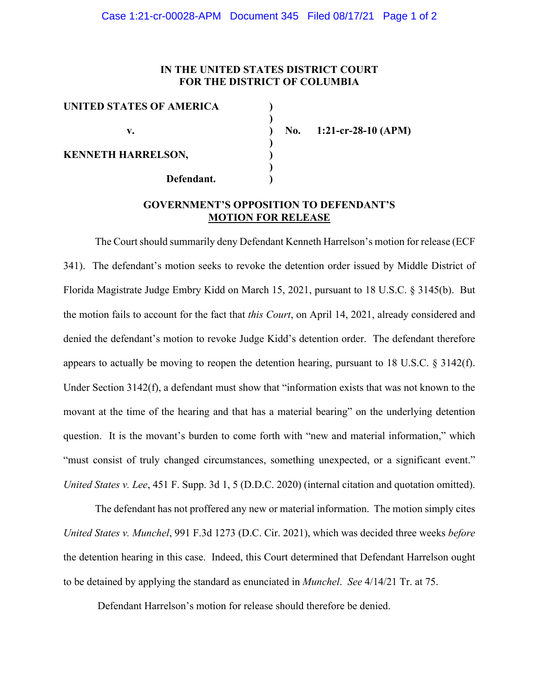## **IN THE UNITED STATES DISTRICT COURT FOR THE DISTRICT OF COLUMBIA**

| UNITED STATES OF AMERICA  |  |
|---------------------------|--|
|                           |  |
| V.                        |  |
|                           |  |
| <b>KENNETH HARRELSON,</b> |  |
|                           |  |
| Defendant.                |  |

**v. ) No. 1:21-cr-28-10 (APM)**

## **GOVERNMENT'S OPPOSITION TO DEFENDANT'S MOTION FOR RELEASE**

The Court should summarily deny Defendant Kenneth Harrelson's motion for release (ECF 341). The defendant's motion seeks to revoke the detention order issued by Middle District of Florida Magistrate Judge Embry Kidd on March 15, 2021, pursuant to 18 U.S.C. § 3145(b). But the motion fails to account for the fact that *this Court*, on April 14, 2021, already considered and denied the defendant's motion to revoke Judge Kidd's detention order. The defendant therefore appears to actually be moving to reopen the detention hearing, pursuant to 18 U.S.C. § 3142(f). Under Section 3142(f), a defendant must show that "information exists that was not known to the movant at the time of the hearing and that has a material bearing" on the underlying detention question. It is the movant's burden to come forth with "new and material information," which "must consist of truly changed circumstances, something unexpected, or a significant event." *United States v. Lee*, 451 F. Supp. 3d 1, 5 (D.D.C. 2020) (internal citation and quotation omitted).

The defendant has not proffered any new or material information. The motion simply cites *United States v. Munchel*, 991 F.3d 1273 (D.C. Cir. 2021), which was decided three weeks *before* the detention hearing in this case. Indeed, this Court determined that Defendant Harrelson ought to be detained by applying the standard as enunciated in *Munchel*. *See* 4/14/21 Tr. at 75.

Defendant Harrelson's motion for release should therefore be denied.